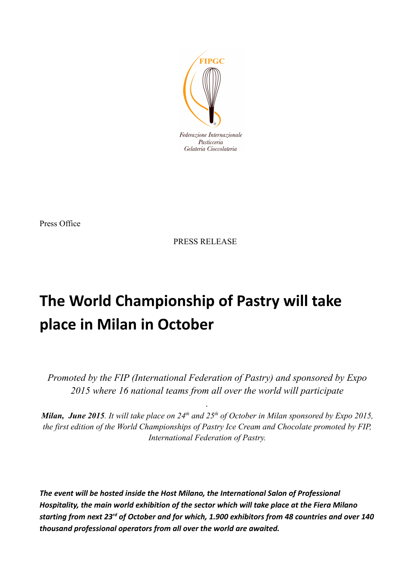

Press Office

PRESS RELEASE

## **The World Championship of Pastry will take place in Milan in October**

*Promoted by the FIP (International Federation of Pastry) and sponsored by Expo 2015 where 16 national teams from all over the world will participate*

*.*

*Milan, June 2015. It will take place on 24th and 25th of October in Milan sponsored by Expo 2015, the first edition of the World Championships of Pastry Ice Cream and Chocolate promoted by FIP, International Federation of Pastry.*

*The event will be hosted inside the Host Milano, the International Salon of Professional Hospitality, the main world exhibition of the sector which will take place at the Fiera Milano starting from next 23rd of October and for which, 1.900 exhibitors from 48 countries and over 140 thousand professional operators from all over the world are awaited.*